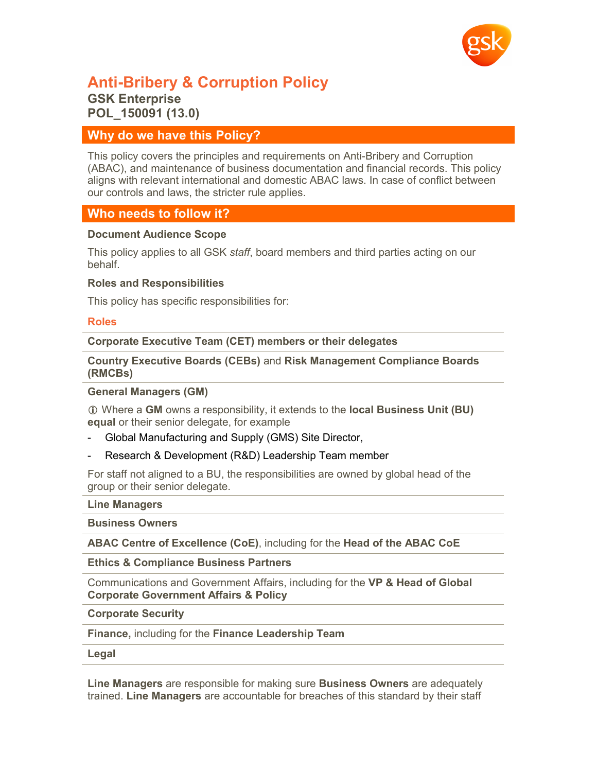

# **Anti-Bribery & Corruption Policy GSK Enterprise POL\_150091 (13.0)**

## **Why do we have this Policy?**

This policy covers the principles and requirements on Anti-Bribery and Corruption (ABAC), and maintenance of business documentation and financial records. This policy aligns with relevant international and domestic ABAC laws. In case of conflict between our controls and laws, the stricter rule applies.

# **Who needs to follow it?**

#### **Document Audience Scope**

This policy applies to all GSK *staff*, board members and third parties acting on our behalf.

#### **Roles and Responsibilities**

This policy has specific responsibilities for:

#### **Roles**

**Corporate Executive Team (CET) members or their delegates**

**Country Executive Boards (CEBs)** and **Risk Management Compliance Boards (RMCBs)**

#### **General Managers (GM)**

 Where a **GM** owns a responsibility, it extends to the **local Business Unit (BU) equal** or their senior delegate, for example

- Global Manufacturing and Supply (GMS) Site Director,
- Research & Development (R&D) Leadership Team member

For staff not aligned to a BU, the responsibilities are owned by global head of the group or their senior delegate.

#### **Line Managers**

**Business Owners**

**ABAC Centre of Excellence (CoE)**, including for the **Head of the ABAC CoE**

**Ethics & Compliance Business Partners**

Communications and Government Affairs, including for the **VP & Head of Global Corporate Government Affairs & Policy**

**Corporate Security**

**Finance,** including for the **Finance Leadership Team**

**Legal**

**Line Managers** are responsible for making sure **Business Owners** are adequately trained. **Line Managers** are accountable for breaches of this standard by their staff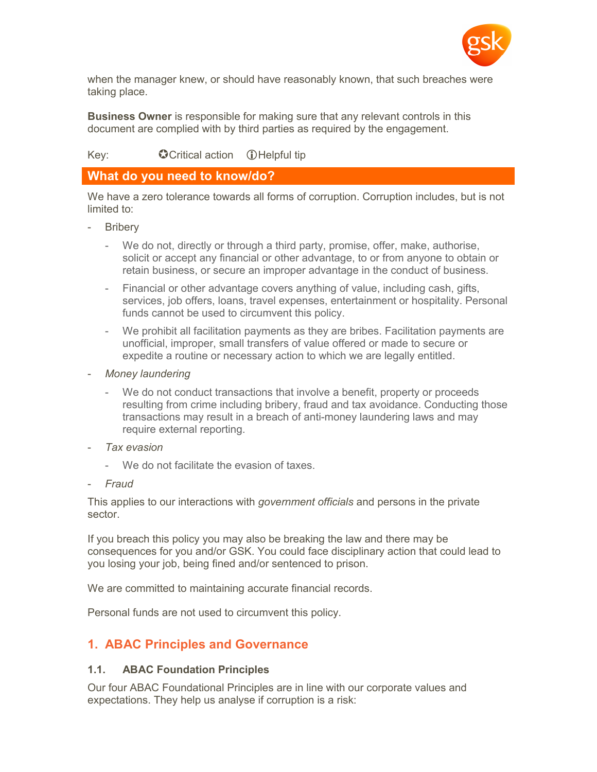

when the manager knew, or should have reasonably known, that such breaches were taking place.

**Business Owner** is responsible for making sure that any relevant controls in this document are complied with by third parties as required by the engagement.

## $Key:$  Critical action  $\bigcirc$  Helpful tip

## **What do you need to know/do?**

We have a zero tolerance towards all forms of corruption. Corruption includes, but is not limited to:

- **Bribery** 
	- We do not, directly or through a third party, promise, offer, make, authorise, solicit or accept any financial or other advantage, to or from anyone to obtain or retain business, or secure an improper advantage in the conduct of business.
	- Financial or other advantage covers anything of value, including cash, gifts, services, job offers, loans, travel expenses, entertainment or hospitality. Personal funds cannot be used to circumvent this policy.
	- We prohibit all facilitation payments as they are bribes. Facilitation payments are unofficial, improper, small transfers of value offered or made to secure or expedite a routine or necessary action to which we are legally entitled.
- *Money laundering*
	- We do not conduct transactions that involve a benefit, property or proceeds resulting from crime including bribery, fraud and tax avoidance. Conducting those transactions may result in a breach of anti-money laundering laws and may require external reporting.
- *Tax evasion* 
	- We do not facilitate the evasion of taxes.
- *Fraud*

This applies to our interactions with *government officials* and persons in the private sector.

If you breach this policy you may also be breaking the law and there may be consequences for you and/or GSK. You could face disciplinary action that could lead to you losing your job, being fined and/or sentenced to prison.

We are committed to maintaining accurate financial records.

Personal funds are not used to circumvent this policy.

# **1. ABAC Principles and Governance**

### **1.1. ABAC Foundation Principles**

Our four ABAC Foundational Principles are in line with our corporate values and expectations. They help us analyse if corruption is a risk: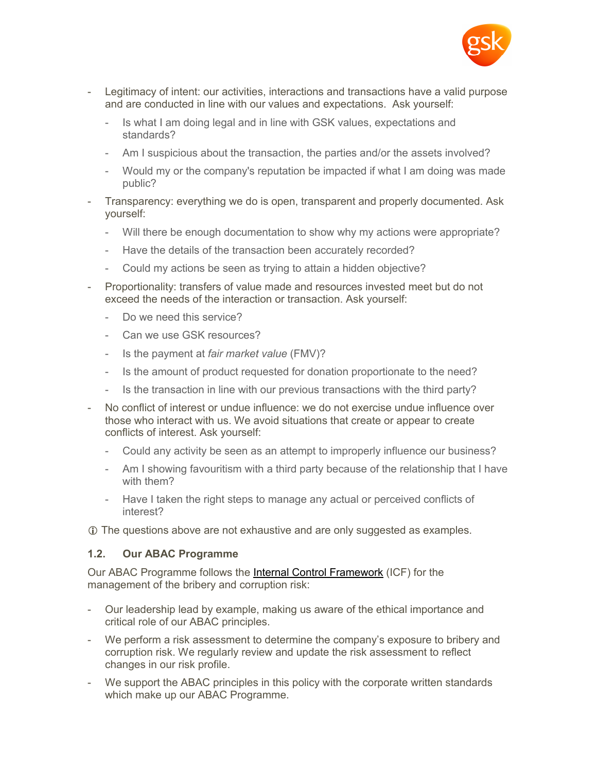

- Legitimacy of intent: our activities, interactions and transactions have a valid purpose and are conducted in line with our values and expectations. Ask yourself:
	- Is what I am doing legal and in line with GSK values, expectations and standards?
	- Am I suspicious about the transaction, the parties and/or the assets involved?
	- Would my or the company's reputation be impacted if what I am doing was made public?
- Transparency: everything we do is open, transparent and properly documented. Ask yourself:
	- Will there be enough documentation to show why my actions were appropriate?
	- Have the details of the transaction been accurately recorded?
	- Could my actions be seen as trying to attain a hidden objective?
- Proportionality: transfers of value made and resources invested meet but do not exceed the needs of the interaction or transaction. Ask yourself:
	- Do we need this service?
	- Can we use GSK resources?
	- Is the payment at *fair market value* (FMV)?
	- Is the amount of product requested for donation proportionate to the need?
	- Is the transaction in line with our previous transactions with the third party?
- No conflict of interest or undue influence: we do not exercise undue influence over those who interact with us. We avoid situations that create or appear to create conflicts of interest. Ask yourself:
	- Could any activity be seen as an attempt to improperly influence our business?
	- Am I showing favouritism with a third party because of the relationship that I have with them?
	- Have I taken the right steps to manage any actual or perceived conflicts of interest?

The questions above are not exhaustive and are only suggested as examples.

# **1.2. Our ABAC Programme**

Our ABAC Programme follows the [Internal Control Framework](http://tinyurl.gsk.com/2cd33c) (ICF) for the management of the bribery and corruption risk:

- Our leadership lead by example, making us aware of the ethical importance and critical role of our ABAC principles.
- We perform a risk assessment to determine the company's exposure to bribery and corruption risk. We regularly review and update the risk assessment to reflect changes in our risk profile.
- We support the ABAC principles in this policy with the corporate written standards which make up our ABAC Programme.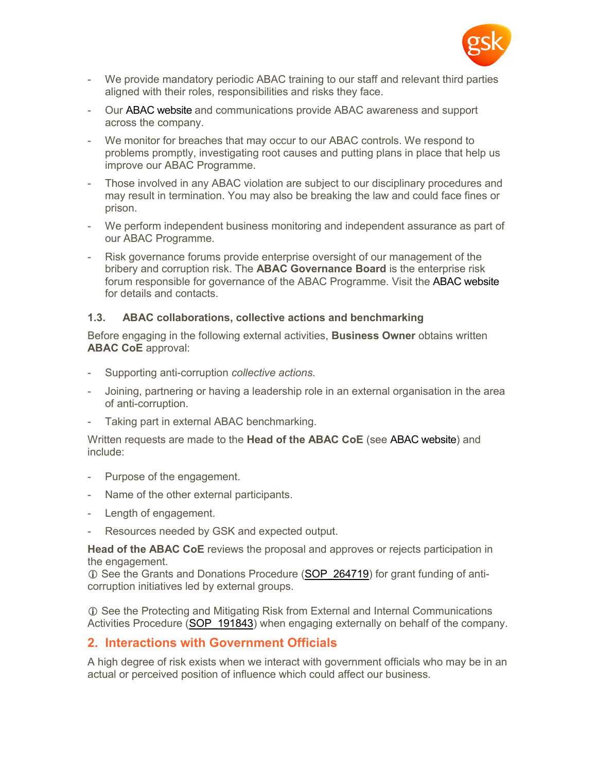

- We provide mandatory periodic ABAC training to our staff and relevant third parties aligned with their roles, responsibilities and risks they face.
- Our [ABAC website](http://tinyurl.gsk.com/d8a2b3) and communications provide ABAC awareness and support across the company.
- We monitor for breaches that may occur to our ABAC controls. We respond to problems promptly, investigating root causes and putting plans in place that help us improve our ABAC Programme.
- Those involved in any ABAC violation are subject to our disciplinary procedures and may result in termination. You may also be breaking the law and could face fines or prison.
- We perform independent business monitoring and independent assurance as part of our ABAC Programme.
- Risk governance forums provide enterprise oversight of our management of the bribery and corruption risk. The **ABAC Governance Board** is the enterprise risk forum responsible for governance of the ABAC Programme. Visit the [ABAC website](http://tinyurl.gsk.com/d8a2b3) for details and contacts.

### **1.3. ABAC collaborations, collective actions and benchmarking**

Before engaging in the following external activities, **Business Owner** obtains written **ABAC CoE** approval:

- Supporting anti-corruption *collective actions.*
- Joining, partnering or having a leadership role in an external organisation in the area of anti-corruption.
- Taking part in external ABAC benchmarking.

Written requests are made to the **Head of the ABAC CoE** (see [ABAC website\)](http://tinyURL.gsk.com/d8a2b3) and include:

- Purpose of the engagement.
- Name of the other external participants.
- Length of engagement.
- Resources needed by GSK and expected output.

**Head of the ABAC CoE** reviews the proposal and approves or rejects participation in the engagement.

10 See the Grants and Donations Procedure [\(SOP\\_264719](http://tinyurl.gsk.com/cb01dd)) for grant funding of anticorruption initiatives led by external groups.

**T** See the Protecting and Mitigating Risk from External and Internal Communications Activities Procedure ([SOP\\_191843\)](http://tinyurl.gsk.com/b1e4ab) when engaging externally on behalf of the company.

# **2. Interactions with Government Officials**

A high degree of risk exists when we interact with government officials who may be in an actual or perceived position of influence which could affect our business.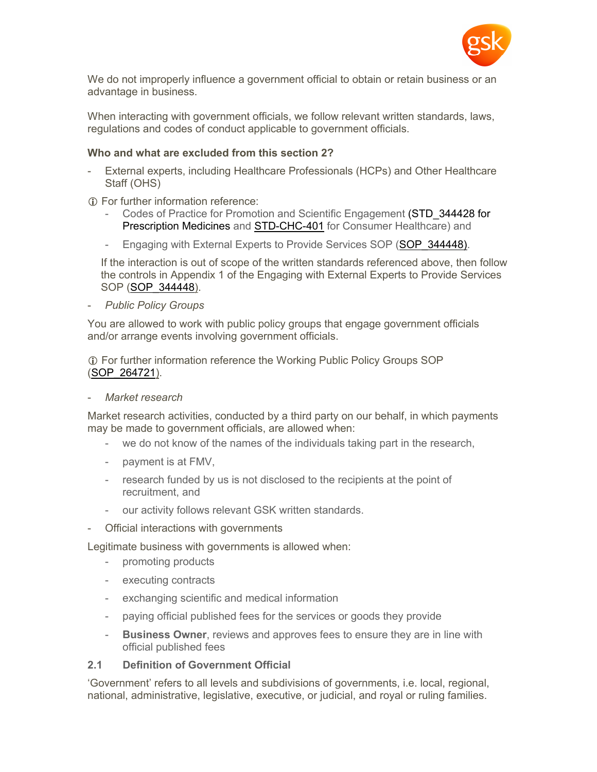

We do not improperly influence a government official to obtain or retain business or an advantage in business.

When interacting with government officials, we follow relevant written standards, laws, regulations and codes of conduct applicable to government officials.

#### **Who and what are excluded from this section 2?**

- External experts, including Healthcare Professionals (HCPs) and Other Healthcare Staff (OHS)
- For further information reference:
	- Codes of Practice for Promotion and Scientific Engagement (STD\_344428 for [Prescription Medicines](http://tinyurl.gsk.com/b962bc) and [STD-CHC-401](http://tinyurl.gsk.com/7fe3a7) for Consumer Healthcare) and
	- Engaging with External Experts to Provide Services SOP (SOP 344448).

If the interaction is out of scope of the written standards referenced above, then follow the controls in Appendix 1 of the Engaging with External Experts to Provide Services SOP ([SOP\\_344448\)](http://tinyURL.gsk.com/89c8be).

- *Public Policy Groups*

You are allowed to work with public policy groups that engage government officials and/or arrange events involving government officials.

 For further information reference the Working Public Policy Groups SOP ([SOP\\_264721\)](http://tinyurl.gsk.com/7d6fd1).

- *Market research*

Market research activities, conducted by a third party on our behalf, in which payments may be made to government officials, are allowed when:

- we do not know of the names of the individuals taking part in the research,
- payment is at FMV,
- research funded by us is not disclosed to the recipients at the point of recruitment, and
- our activity follows relevant GSK written standards.
- Official interactions with governments

Legitimate business with governments is allowed when:

- promoting products
- executing contracts
- exchanging scientific and medical information
- paying official published fees for the services or goods they provide
- **Business Owner**, reviews and approves fees to ensure they are in line with official published fees

#### **2.1 Definition of Government Official**

'Government' refers to all levels and subdivisions of governments, i.e. local, regional, national, administrative, legislative, executive, or judicial, and royal or ruling families.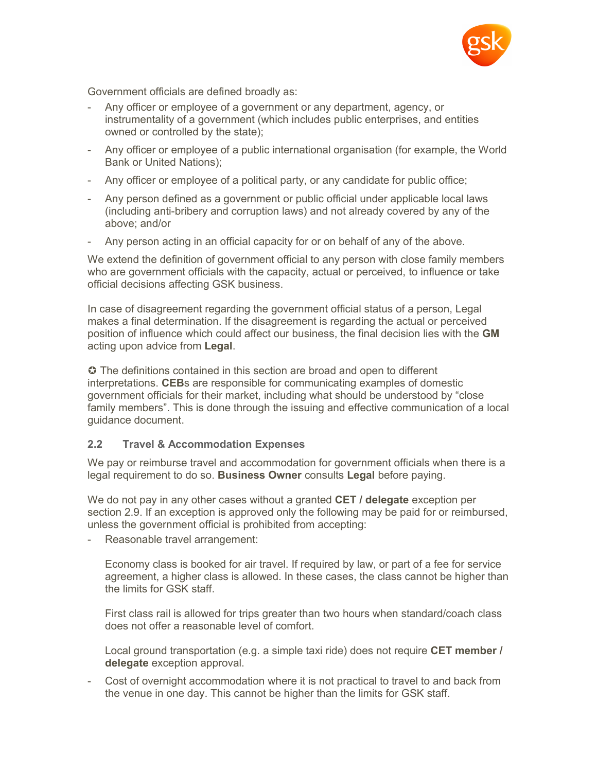

Government officials are defined broadly as:

- Any officer or employee of a government or any department, agency, or instrumentality of a government (which includes public enterprises, and entities owned or controlled by the state);
- Any officer or employee of a public international organisation (for example, the World Bank or United Nations);
- Any officer or employee of a political party, or any candidate for public office;
- Any person defined as a government or public official under applicable local laws (including anti-bribery and corruption laws) and not already covered by any of the above; and/or
- Any person acting in an official capacity for or on behalf of any of the above.

We extend the definition of government official to any person with close family members who are government officials with the capacity, actual or perceived, to influence or take official decisions affecting GSK business.

In case of disagreement regarding the government official status of a person, Legal makes a final determination. If the disagreement is regarding the actual or perceived position of influence which could affect our business, the final decision lies with the **GM** acting upon advice from **Legal**.

 The definitions contained in this section are broad and open to different interpretations. **CEB**s are responsible for communicating examples of domestic government officials for their market, including what should be understood by "close family members". This is done through the issuing and effective communication of a local guidance document.

### **2.2 Travel & Accommodation Expenses**

We pay or reimburse travel and accommodation for government officials when there is a legal requirement to do so. **Business Owner** consults **Legal** before paying.

We do not pay in any other cases without a granted **CET / delegate** exception per section 2.9. If an exception is approved only the following may be paid for or reimbursed, unless the government official is prohibited from accepting:

- Reasonable travel arrangement:

Economy class is booked for air travel. If required by law, or part of a fee for service agreement, a higher class is allowed. In these cases, the class cannot be higher than the limits for GSK staff.

First class rail is allowed for trips greater than two hours when standard/coach class does not offer a reasonable level of comfort.

Local ground transportation (e.g. a simple taxi ride) does not require **CET member / delegate** exception approval.

- Cost of overnight accommodation where it is not practical to travel to and back from the venue in one day. This cannot be higher than the limits for GSK staff.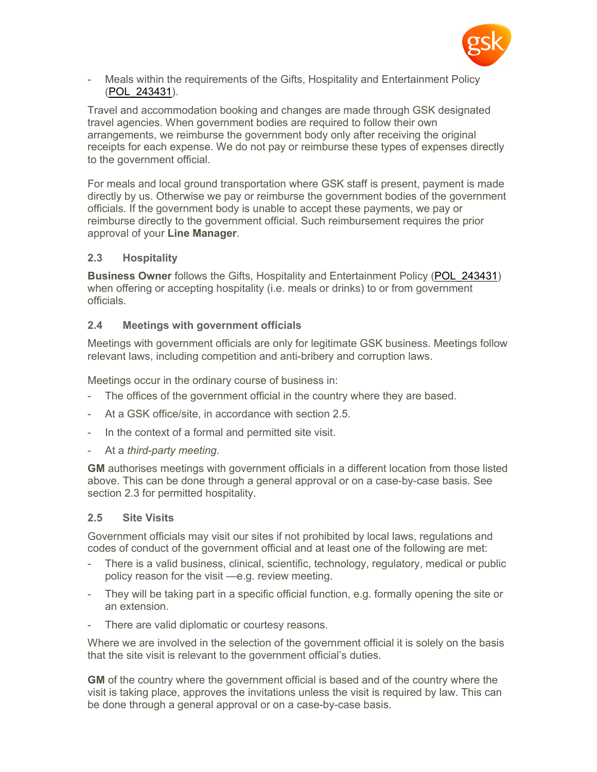

Meals within the requirements of the Gifts, Hospitality and Entertainment Policy ([POL\\_243431](http://tinyurl.gsk.com/756309)).

Travel and accommodation booking and changes are made through GSK designated travel agencies. When government bodies are required to follow their own arrangements, we reimburse the government body only after receiving the original receipts for each expense. We do not pay or reimburse these types of expenses directly to the government official.

For meals and local ground transportation where GSK staff is present, payment is made directly by us. Otherwise we pay or reimburse the government bodies of the government officials. If the government body is unable to accept these payments, we pay or reimburse directly to the government official. Such reimbursement requires the prior approval of your **Line Manager**.

### **2.3 Hospitality**

**Business Owner** follows the Gifts, Hospitality and Entertainment Policy ([POL\\_243431](http://tinyurl.gsk.com/756309)) when offering or accepting hospitality (i.e. meals or drinks) to or from government officials*.*

### **2.4 Meetings with government officials**

Meetings with government officials are only for legitimate GSK business. Meetings follow relevant laws, including competition and anti-bribery and corruption laws.

Meetings occur in the ordinary course of business in:

- The offices of the government official in the country where they are based.
- At a GSK office/site, in accordance with section 2.5.
- In the context of a formal and permitted site visit.
- At a *third-party meeting*.

**GM** authorises meetings with government officials in a different location from those listed above. This can be done through a general approval or on a case-by-case basis. See section 2.3 for permitted hospitality.

#### **2.5 Site Visits**

Government officials may visit our sites if not prohibited by local laws, regulations and codes of conduct of the government official and at least one of the following are met:

- There is a valid business, clinical, scientific, technology, regulatory, medical or public policy reason for the visit —e.g. review meeting.
- They will be taking part in a specific official function, e.g. formally opening the site or an extension.
- There are valid diplomatic or courtesy reasons.

Where we are involved in the selection of the government official it is solely on the basis that the site visit is relevant to the government official's duties.

**GM** of the country where the government official is based and of the country where the visit is taking place, approves the invitations unless the visit is required by law. This can be done through a general approval or on a case-by-case basis.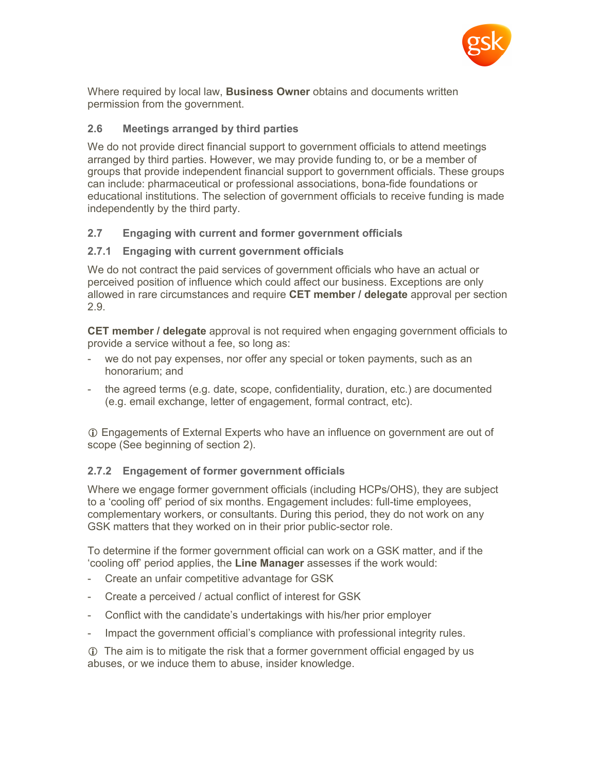

Where required by local law, **Business Owner** obtains and documents written permission from the government.

## **2.6 Meetings arranged by third parties**

We do not provide direct financial support to government officials to attend meetings arranged by third parties. However, we may provide funding to, or be a member of groups that provide independent financial support to government officials. These groups can include: pharmaceutical or professional associations, bona-fide foundations or educational institutions. The selection of government officials to receive funding is made independently by the third party.

## **2.7 Engaging with current and former government officials**

## **2.7.1 Engaging with current government officials**

We do not contract the paid services of government officials who have an actual or perceived position of influence which could affect our business. Exceptions are only allowed in rare circumstances and require **CET member / delegate** approval per section 2.9.

**CET member / delegate** approval is not required when engaging government officials to provide a service without a fee, so long as:

- we do not pay expenses, nor offer any special or token payments, such as an honorarium; and
- the agreed terms (e.g. date, scope, confidentiality, duration, etc.) are documented (e.g. email exchange, letter of engagement, formal contract, etc).

 Engagements of External Experts who have an influence on government are out of scope (See beginning of section 2).

# **2.7.2 Engagement of former government officials**

Where we engage former government officials (including HCPs/OHS), they are subject to a 'cooling off' period of six months. Engagement includes: full-time employees, complementary workers, or consultants. During this period, they do not work on any GSK matters that they worked on in their prior public-sector role.

To determine if the former government official can work on a GSK matter, and if the 'cooling off' period applies, the **Line Manager** assesses if the work would:

- Create an unfair competitive advantage for GSK
- Create a perceived / actual conflict of interest for GSK
- Conflict with the candidate's undertakings with his/her prior employer
- Impact the government official's compliance with professional integrity rules.

 The aim is to mitigate the risk that a former government official engaged by us abuses, or we induce them to abuse, insider knowledge.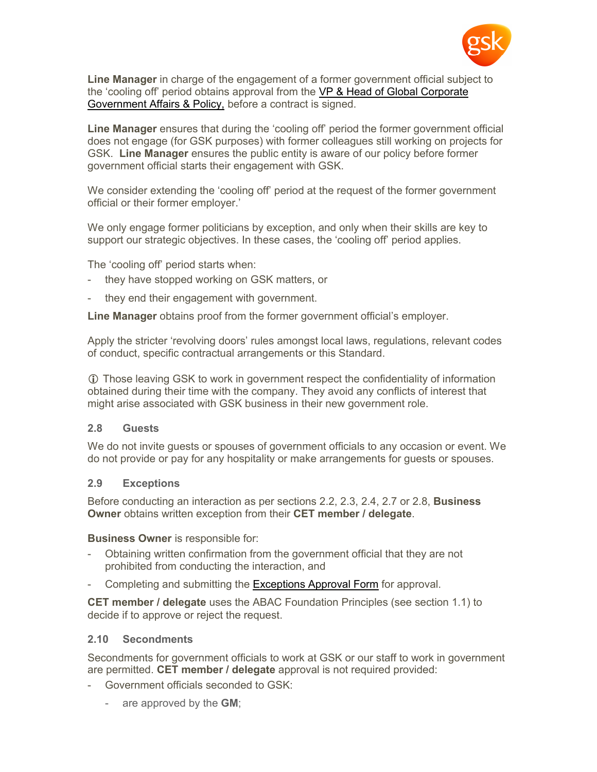

**Line Manager** in charge of the engagement of a former government official subject to the 'cooling off' period obtains approval from the [VP & Head of Global Corporate](http://tinyurl.gsk.com/8852ae)  [Government Affairs & Policy,](http://tinyurl.gsk.com/8852ae) before a contract is signed.

**Line Manager** ensures that during the 'cooling off' period the former government official does not engage (for GSK purposes) with former colleagues still working on projects for GSK. **Line Manager** ensures the public entity is aware of our policy before former government official starts their engagement with GSK.

We consider extending the 'cooling off' period at the request of the former government official or their former employer.'

We only engage former politicians by exception, and only when their skills are key to support our strategic objectives. In these cases, the 'cooling off' period applies.

The 'cooling off' period starts when:

- they have stopped working on GSK matters, or
- they end their engagement with government.

**Line Manager** obtains proof from the former government official's employer.

Apply the stricter 'revolving doors' rules amongst local laws, regulations, relevant codes of conduct, specific contractual arrangements or this Standard.

 Those leaving GSK to work in government respect the confidentiality of information obtained during their time with the company. They avoid any conflicts of interest that might arise associated with GSK business in their new government role.

#### **2.8 Guests**

We do not invite guests or spouses of government officials to any occasion or event. We do not provide or pay for any hospitality or make arrangements for guests or spouses.

#### **2.9 Exceptions**

Before conducting an interaction as per sections 2.2, 2.3, 2.4, 2.7 or 2.8, **Business Owner** obtains written exception from their **CET member / delegate**.

**Business Owner** is responsible for:

- Obtaining written confirmation from the government official that they are not prohibited from conducting the interaction, and
- Completing and submitting the [Exceptions Approval Form](http://tinyurl.gsk.com/92855) for approval.

**CET member / delegate** uses the ABAC Foundation Principles (see section 1.1) to decide if to approve or reject the request.

#### **2.10 Secondments**

Secondments for government officials to work at GSK or our staff to work in government are permitted. **CET member / delegate** approval is not required provided:

- Government officials seconded to GSK:
	- are approved by the **GM**;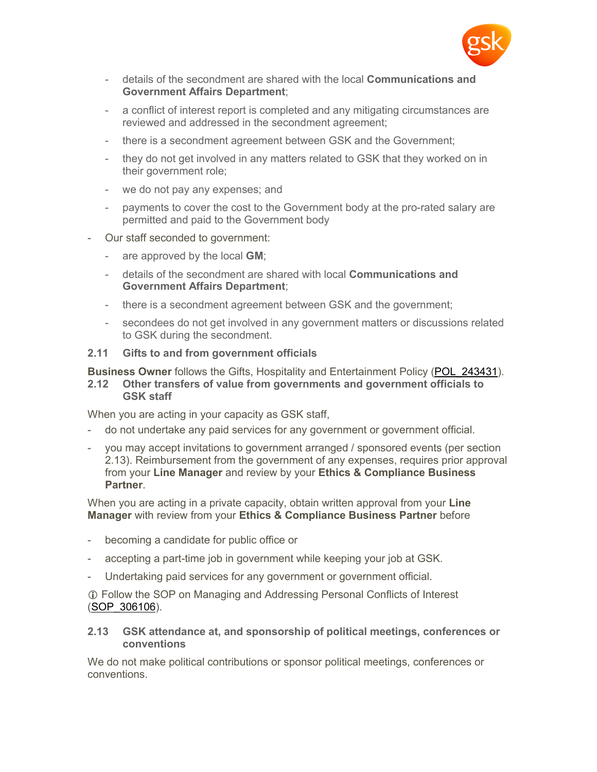

- details of the secondment are shared with the local **Communications and Government Affairs Department**;
- a conflict of interest report is completed and any mitigating circumstances are reviewed and addressed in the secondment agreement;
- there is a secondment agreement between GSK and the Government;
- they do not get involved in any matters related to GSK that they worked on in their government role;
- we do not pay any expenses; and
- payments to cover the cost to the Government body at the pro-rated salary are permitted and paid to the Government body
- Our staff seconded to government:
	- are approved by the local **GM**;
	- details of the secondment are shared with local **Communications and Government Affairs Department**;
	- there is a secondment agreement between GSK and the government;
	- secondees do not get involved in any government matters or discussions related to GSK during the secondment.

#### **2.11 Gifts to and from government officials**

**Business Owner** follows the Gifts, Hospitality and Entertainment Policy ([POL\\_243431](http://tinyurl.gsk.com/756309)).

**2.12 Other transfers of value from governments and government officials to GSK staff**

When you are acting in your capacity as GSK staff,

- do not undertake any paid services for any government or government official.
- you may accept invitations to government arranged / sponsored events (per section 2.13). Reimbursement from the government of any expenses, requires prior approval from your **Line Manager** and review by your **Ethics & Compliance Business Partner**.

When you are acting in a private capacity, obtain written approval from your **Line Manager** with review from your **Ethics & Compliance Business Partner** before

- becoming a candidate for public office or
- accepting a part-time job in government while keeping your job at GSK.
- Undertaking paid services for any government or government official.

 Follow the SOP on Managing and Addressing Personal Conflicts of Interest ([SOP\\_306106\)](http://tinyurl.gsk.com/a2ee38).

#### **2.13 GSK attendance at, and sponsorship of political meetings, conferences or conventions**

We do not make political contributions or sponsor political meetings, conferences or conventions.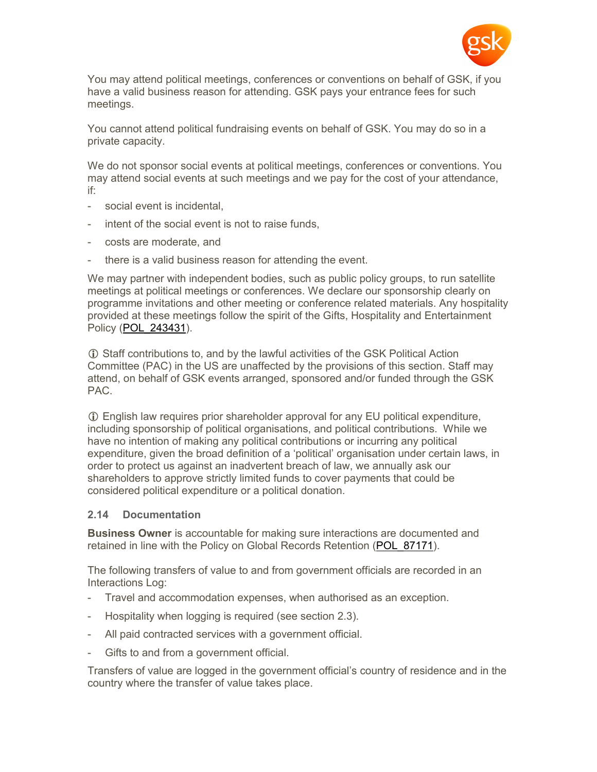

You may attend political meetings, conferences or conventions on behalf of GSK, if you have a valid business reason for attending. GSK pays your entrance fees for such meetings.

You cannot attend political fundraising events on behalf of GSK. You may do so in a private capacity.

We do not sponsor social events at political meetings, conferences or conventions. You may attend social events at such meetings and we pay for the cost of your attendance, if:

- social event is incidental,
- intent of the social event is not to raise funds,
- costs are moderate, and
- there is a valid business reason for attending the event.

We may partner with independent bodies, such as public policy groups, to run satellite meetings at political meetings or conferences. We declare our sponsorship clearly on programme invitations and other meeting or conference related materials. Any hospitality provided at these meetings follow the spirit of the Gifts, Hospitality and Entertainment Policy [\(POL\\_243431](http://tinyurl.gsk.com/756309)).

 Staff contributions to, and by the lawful activities of the GSK Political Action Committee (PAC) in the US are unaffected by the provisions of this section. Staff may attend, on behalf of GSK events arranged, sponsored and/or funded through the GSK PAC.

 English law requires prior shareholder approval for any EU political expenditure, including sponsorship of political organisations, and political contributions. While we have no intention of making any political contributions or incurring any political expenditure, given the broad definition of a 'political' organisation under certain laws, in order to protect us against an inadvertent breach of law, we annually ask our shareholders to approve strictly limited funds to cover payments that could be considered political expenditure or a political donation.

#### **2.14 Documentation**

**Business Owner** is accountable for making sure interactions are documented and retained in line with the Policy on Global Records Retention (POL 87171).

The following transfers of value to and from government officials are recorded in an Interactions Log:

- Travel and accommodation expenses, when authorised as an exception.
- Hospitality when logging is required (see section 2.3).
- All paid contracted services with a government official.
- Gifts to and from a government official.

Transfers of value are logged in the government official's country of residence and in the country where the transfer of value takes place.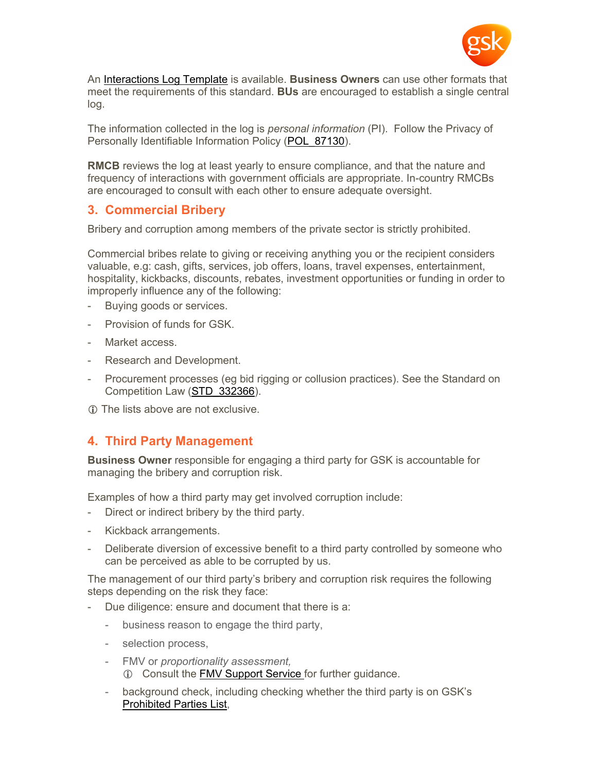

An [Interactions Log Template](http://tinyurl.gsk.com/92855) is available. **Business Owners** can use other formats that meet the requirements of this standard. **BUs** are encouraged to establish a single central log.

The information collected in the log is *personal information* (PI). Follow the Privacy of Personally Identifiable Information Policy (POL 87130).

**RMCB** reviews the log at least yearly to ensure compliance, and that the nature and frequency of interactions with government officials are appropriate. In-country RMCBs are encouraged to consult with each other to ensure adequate oversight.

# **3. Commercial Bribery**

Bribery and corruption among members of the private sector is strictly prohibited.

Commercial bribes relate to giving or receiving anything you or the recipient considers valuable, e.g: cash, gifts, services, job offers, loans, travel expenses, entertainment, hospitality, kickbacks, discounts, rebates, investment opportunities or funding in order to improperly influence any of the following:

- Buying goods or services.
- Provision of funds for GSK.
- Market access
- Research and Development.
- Procurement processes (eg bid rigging or collusion practices). See the Standard on Competition Law [\(STD\\_332366](http://tinyurl.gsk.com/e237df)).
- The lists above are not exclusive.

# **4. Third Party Management**

**Business Owner** responsible for engaging a third party for GSK is accountable for managing the bribery and corruption risk.

Examples of how a third party may get involved corruption include:

- Direct or indirect bribery by the third party.
- Kickback arrangements.
- Deliberate diversion of excessive benefit to a third party controlled by someone who can be perceived as able to be corrupted by us.

The management of our third party's bribery and corruption risk requires the following steps depending on the risk they face:

- Due diligence: ensure and document that there is a:
	- business reason to engage the third party,
	- selection process,
	- FMV or *proportionality assessment,* Consult the [FMV Support Service](http://tinyurl.gsk.com/7ec34b) for further guidance.
	- background check, including checking whether the third party is on GSK's [Prohibited Parties List,](http://tinyurl.gsk.com/73c82a)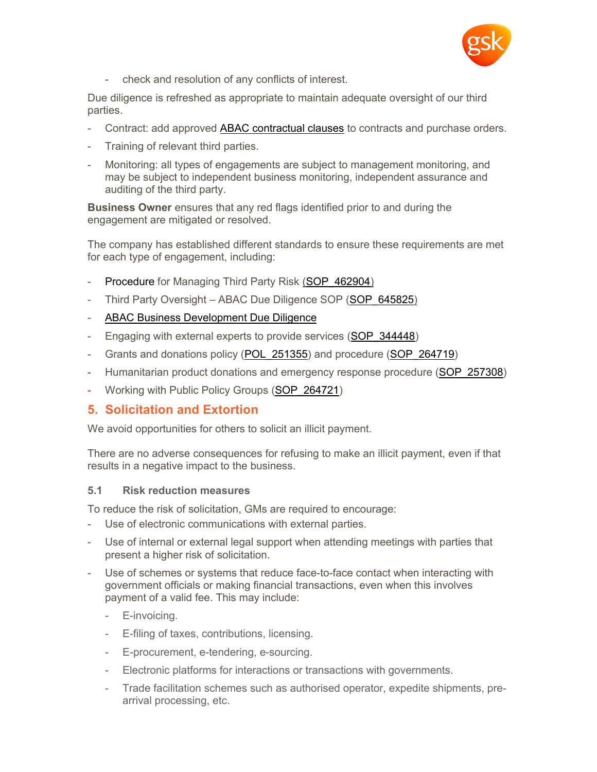

- check and resolution of any conflicts of interest.

Due diligence is refreshed as appropriate to maintain adequate oversight of our third parties.

- Contract: add approved [ABAC contractual clauses](http://tinyurl.gsk.com/58812e) to contracts and purchase orders.
- Training of relevant third parties.
- Monitoring: all types of engagements are subject to management monitoring, and may be subject to independent business monitoring, independent assurance and auditing of the third party.

**Business Owner** ensures that any red flags identified prior to and during the engagement are mitigated or resolved.

The company has established different standards to ensure these requirements are met for each type of engagement, including:

- [Procedure](https://connect.gsk.com/sites/gea/Pages/TPO-risk-management-programme.aspx) for Managing Third Party Risk (SOP 462904)
- Third Party Oversight ABAC Due Diligence SOP (SOP 645825)
- [ABAC Business Development Due Diligence](http://tinyurl.gsk.com/97d634)
- Engaging with external experts to provide services (SOP 344448)
- Grants and donations policy (POL 251355) and procedure (SOP 264719)
- Humanitarian product donations and emergency response procedure (SOP 257308)
- Working with Public Policy Groups [\(SOP\\_264721](http://tinyurl.gsk.com/7d6fd1))

# **5. Solicitation and Extortion**

We avoid opportunities for others to solicit an illicit payment.

There are no adverse consequences for refusing to make an illicit payment, even if that results in a negative impact to the business.

### **5.1 Risk reduction measures**

To reduce the risk of solicitation, GMs are required to encourage:

- Use of electronic communications with external parties.
- Use of internal or external legal support when attending meetings with parties that present a higher risk of solicitation.
- Use of schemes or systems that reduce face-to-face contact when interacting with government officials or making financial transactions, even when this involves payment of a valid fee. This may include:
	- E-invoicing.
	- E-filing of taxes, contributions, licensing.
	- E-procurement, e-tendering, e-sourcing.
	- Electronic platforms for interactions or transactions with governments.
	- Trade facilitation schemes such as authorised operator, expedite shipments, prearrival processing, etc.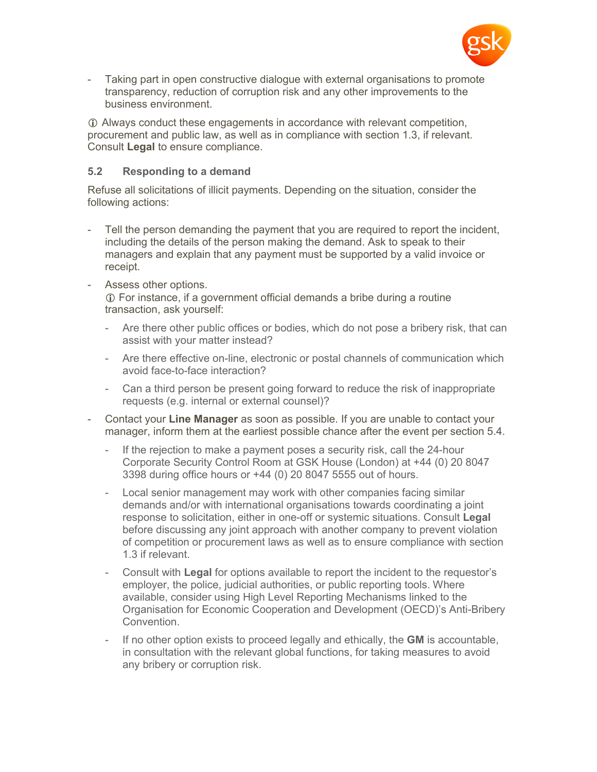

Taking part in open constructive dialogue with external organisations to promote transparency, reduction of corruption risk and any other improvements to the business environment.

 Always conduct these engagements in accordance with relevant competition, procurement and public law, as well as in compliance with section 1.3, if relevant. Consult **Legal** to ensure compliance.

### **5.2 Responding to a demand**

Refuse all solicitations of illicit payments. Depending on the situation, consider the following actions:

- Tell the person demanding the payment that you are required to report the incident, including the details of the person making the demand. Ask to speak to their managers and explain that any payment must be supported by a valid invoice or receipt.
- Assess other options. For instance, if a government official demands a bribe during a routine transaction, ask yourself:
	- Are there other public offices or bodies, which do not pose a bribery risk, that can assist with your matter instead?
	- Are there effective on-line, electronic or postal channels of communication which avoid face-to-face interaction?
	- Can a third person be present going forward to reduce the risk of inappropriate requests (e.g. internal or external counsel)?
- Contact your **Line Manager** as soon as possible. If you are unable to contact your manager, inform them at the earliest possible chance after the event per section 5.4.
	- If the rejection to make a payment poses a security risk, call the 24-hour Corporate Security Control Room at GSK House (London) at +44 (0) 20 8047 3398 during office hours or +44 (0) 20 8047 5555 out of hours.
	- Local senior management may work with other companies facing similar demands and/or with international organisations towards coordinating a joint response to solicitation, either in one-off or systemic situations. Consult **Legal** before discussing any joint approach with another company to prevent violation of competition or procurement laws as well as to ensure compliance with section 1.3 if relevant.
	- Consult with **Legal** for options available to report the incident to the requestor's employer, the police, judicial authorities, or public reporting tools. Where available, consider using High Level Reporting Mechanisms linked to the Organisation for Economic Cooperation and Development (OECD)'s Anti-Bribery Convention.
	- If no other option exists to proceed legally and ethically, the **GM** is accountable, in consultation with the relevant global functions, for taking measures to avoid any bribery or corruption risk.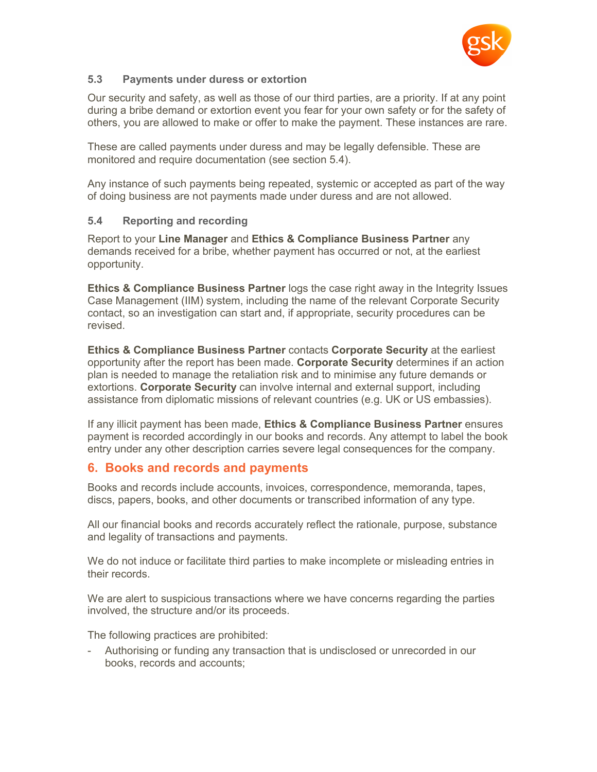

## **5.3 Payments under duress or extortion**

Our security and safety, as well as those of our third parties, are a priority. If at any point during a bribe demand or extortion event you fear for your own safety or for the safety of others, you are allowed to make or offer to make the payment. These instances are rare.

These are called payments under duress and may be legally defensible. These are monitored and require documentation (see section 5.4).

Any instance of such payments being repeated, systemic or accepted as part of the way of doing business are not payments made under duress and are not allowed.

### **5.4 Reporting and recording**

Report to your **Line Manager** and **Ethics & Compliance Business Partner** any demands received for a bribe, whether payment has occurred or not, at the earliest opportunity.

**Ethics & Compliance Business Partner** logs the case right away in the Integrity Issues Case Management (IIM) system, including the name of the relevant Corporate Security contact, so an investigation can start and, if appropriate, security procedures can be revised.

**Ethics & Compliance Business Partner** contacts **Corporate Security** at the earliest opportunity after the report has been made. **Corporate Security** determines if an action plan is needed to manage the retaliation risk and to minimise any future demands or extortions. **Corporate Security** can involve internal and external support, including assistance from diplomatic missions of relevant countries (e.g. UK or US embassies).

If any illicit payment has been made, **Ethics & Compliance Business Partner** ensures payment is recorded accordingly in our books and records. Any attempt to label the book entry under any other description carries severe legal consequences for the company.

# **6. Books and records and payments**

Books and records include accounts, invoices, correspondence, memoranda, tapes, discs, papers, books, and other documents or transcribed information of any type.

All our financial books and records accurately reflect the rationale, purpose, substance and legality of transactions and payments.

We do not induce or facilitate third parties to make incomplete or misleading entries in their records.

We are alert to suspicious transactions where we have concerns regarding the parties involved, the structure and/or its proceeds.

The following practices are prohibited:

- Authorising or funding any transaction that is undisclosed or unrecorded in our books, records and accounts;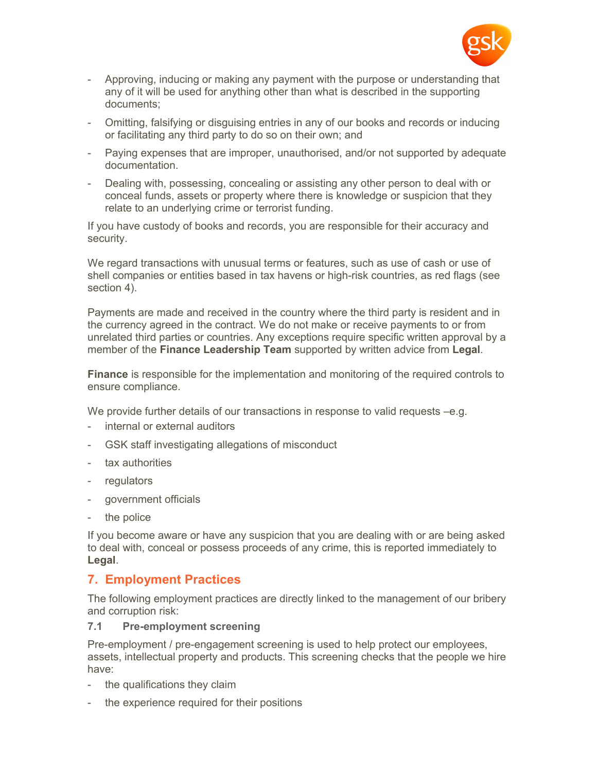

- Approving, inducing or making any payment with the purpose or understanding that any of it will be used for anything other than what is described in the supporting documents;
- Omitting, falsifying or disguising entries in any of our books and records or inducing or facilitating any third party to do so on their own; and
- Paying expenses that are improper, unauthorised, and/or not supported by adequate documentation.
- Dealing with, possessing, concealing or assisting any other person to deal with or conceal funds, assets or property where there is knowledge or suspicion that they relate to an underlying crime or terrorist funding.

If you have custody of books and records, you are responsible for their accuracy and security.

We regard transactions with unusual terms or features, such as use of cash or use of shell companies or entities based in tax havens or high-risk countries, as red flags (see section 4).

Payments are made and received in the country where the third party is resident and in the currency agreed in the contract. We do not make or receive payments to or from unrelated third parties or countries. Any exceptions require specific written approval by a member of the **Finance Leadership Team** supported by written advice from **Legal***.*

**Finance** is responsible for the implementation and monitoring of the required controls to ensure compliance.

We provide further details of our transactions in response to valid requests –e.g.

- internal or external auditors
- GSK staff investigating allegations of misconduct
- tax authorities
- regulators
- government officials
- the police

If you become aware or have any suspicion that you are dealing with or are being asked to deal with, conceal or possess proceeds of any crime, this is reported immediately to **Legal**.

# **7. Employment Practices**

The following employment practices are directly linked to the management of our bribery and corruption risk:

#### **7.1 Pre-employment screening**

Pre-employment / pre-engagement screening is used to help protect our employees, assets, intellectual property and products. This screening checks that the people we hire have:

- the qualifications they claim
- the experience required for their positions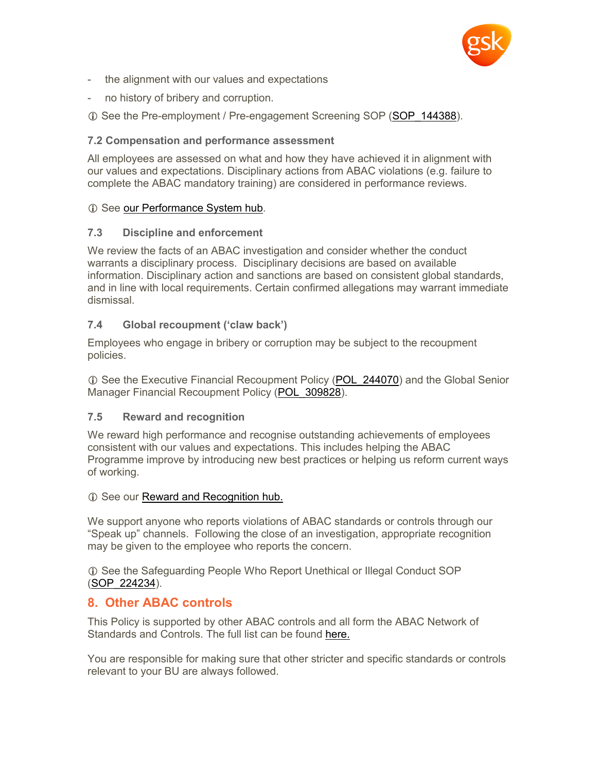

- the alignment with our values and expectations
- no history of bribery and corruption.
- $\oplus$  See the Pre-employment / Pre-engagement Screening SOP (SOP 144388).

## **7.2 Compensation and performance assessment**

All employees are assessed on what and how they have achieved it in alignment with our values and expectations. Disciplinary actions from ABAC violations (e.g. failure to complete the ABAC mandatory training) are considered in performance reviews.

## **C** See [our Performance System hub](http://tinyurl.gsk.com/eb3697).

## **7.3 Discipline and enforcement**

We review the facts of an ABAC investigation and consider whether the conduct warrants a disciplinary process. Disciplinary decisions are based on available information. Disciplinary action and sanctions are based on consistent global standards, and in line with local requirements. Certain confirmed allegations may warrant immediate dismissal.

## **7.4 Global recoupment ('claw back')**

Employees who engage in bribery or corruption may be subject to the recoupment policies.

**T** See the Executive Financial Recoupment Policy (POL 244070) and the Global Senior Manager Financial Recoupment Policy (POL 309828).

### **7.5 Reward and recognition**

We reward high performance and recognise outstanding achievements of employees consistent with our values and expectations. This includes helping the ABAC Programme improve by introducing new best practices or helping us reform current ways of working.

### $\odot$  See our [Reward and Recognition hub.](http://tinyurl.gsk.com/c9b980)

We support anyone who reports violations of ABAC standards or controls through our "Speak up" channels. Following the close of an investigation, appropriate recognition may be given to the employee who reports the concern.

 See the Safeguarding People Who Report Unethical or Illegal Conduct SOP ([SOP\\_224234\)](http://tinyurl.gsk.com/18bdbb).

# **8. Other ABAC controls**

This Policy is supported by other ABAC controls and all form the ABAC Network of Standards and Controls. The full list can be found [here.](http://tinyurl.gsk.com/e5dd63)

You are responsible for making sure that other stricter and specific standards or controls relevant to your BU are always followed.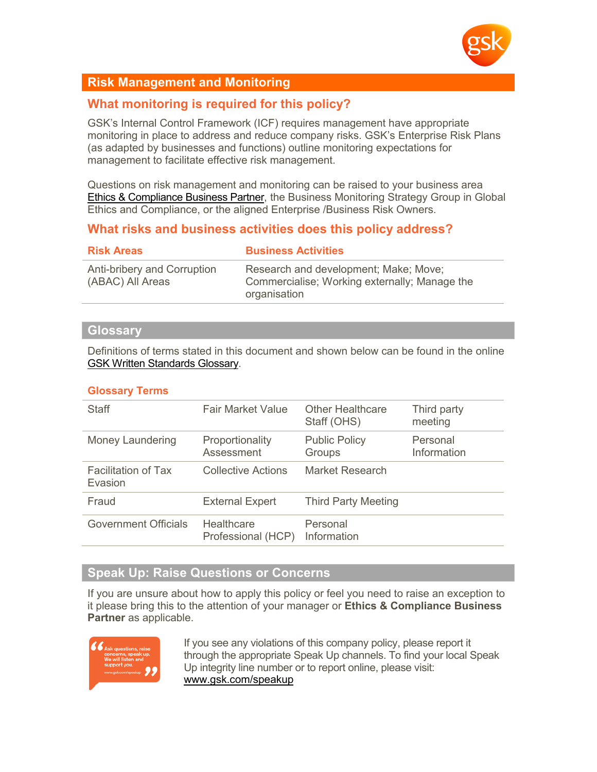

# **Risk Management and Monitoring**

# **What monitoring is required for this policy?**

GSK's Internal Control Framework (ICF) requires management have appropriate monitoring in place to address and reduce company risks. GSK's Enterprise Risk Plans (as adapted by businesses and functions) outline monitoring expectations for management to facilitate effective risk management.

Questions on risk management and monitoring can be raised to your business area [Ethics & Compliance Business Partner,](http://tinyurl.gsk.com/4c54ce) the Business Monitoring Strategy Group in Global Ethics and Compliance, or the aligned Enterprise /Business Risk Owners.

# **What risks and business activities does this policy address?**

| <b>Risk Areas</b>                               | <b>Business Activities</b>                                                                             |
|-------------------------------------------------|--------------------------------------------------------------------------------------------------------|
| Anti-bribery and Corruption<br>(ABAC) All Areas | Research and development; Make; Move;<br>Commercialise; Working externally; Manage the<br>organisation |

#### **Glossary**

Definitions of terms stated in this document and shown below can be found in the online [GSK Written Standards Glossary.](http://tinyurl.gsk.com/ea5894)

### **Glossary Terms**

| <b>Fair Market Value</b>                | <b>Other Healthcare</b><br>Staff (OHS) | Third party<br>meeting  |
|-----------------------------------------|----------------------------------------|-------------------------|
| Proportionality<br>Assessment           | <b>Public Policy</b><br>Groups         | Personal<br>Information |
| Collective Actions                      | Market Research                        |                         |
| <b>External Expert</b>                  | <b>Third Party Meeting</b>             |                         |
| <b>Healthcare</b><br>Professional (HCP) | Personal<br>Information                |                         |
|                                         |                                        |                         |

# **Speak Up: Raise Questions or Concerns**

If you are unsure about how to apply this policy or feel you need to raise an exception to it please bring this to the attention of your manager or **Ethics & Compliance Business Partner** as applicable.



If you see any violations of this company policy, please report it through the appropriate Speak Up channels. To find your local Speak Up integrity line number or to report online, please visit: [www.gsk.com/speakup](http://www.gsk.com/speakup)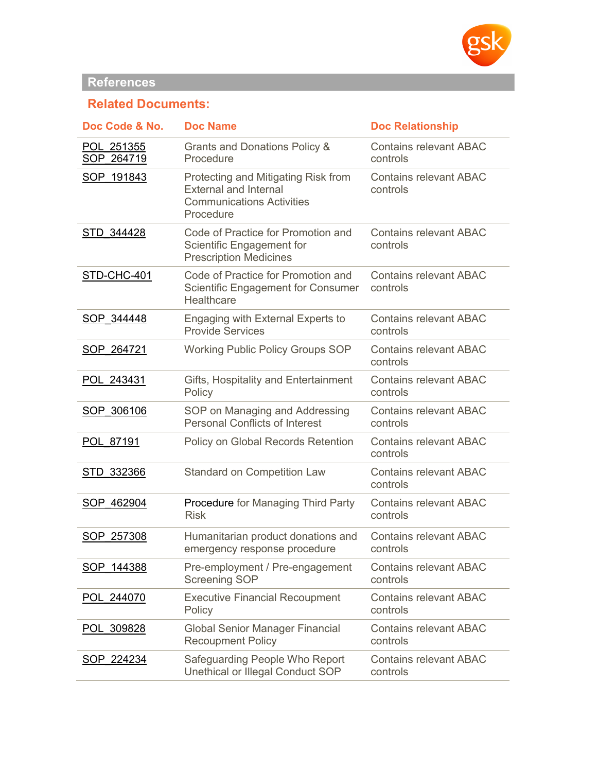

# **References**

# **Related Documents:**

| Doc Code & No.           | <b>Doc Name</b>                                                                                                      | <b>Doc Relationship</b>                   |
|--------------------------|----------------------------------------------------------------------------------------------------------------------|-------------------------------------------|
| POL 251355<br>SOP 264719 | Grants and Donations Policy &<br>Procedure                                                                           | <b>Contains relevant ABAC</b><br>controls |
| SOP 191843               | Protecting and Mitigating Risk from<br><b>External and Internal</b><br><b>Communications Activities</b><br>Procedure | <b>Contains relevant ABAC</b><br>controls |
| STD 344428               | Code of Practice for Promotion and<br>Scientific Engagement for<br><b>Prescription Medicines</b>                     | <b>Contains relevant ABAC</b><br>controls |
| STD-CHC-401              | Code of Practice for Promotion and<br><b>Scientific Engagement for Consumer</b><br>Healthcare                        | <b>Contains relevant ABAC</b><br>controls |
| SOP 344448               | Engaging with External Experts to<br><b>Provide Services</b>                                                         | <b>Contains relevant ABAC</b><br>controls |
| SOP 264721               | <b>Working Public Policy Groups SOP</b>                                                                              | <b>Contains relevant ABAC</b><br>controls |
| POL 243431               | Gifts, Hospitality and Entertainment<br>Policy                                                                       | <b>Contains relevant ABAC</b><br>controls |
| SOP 306106               | SOP on Managing and Addressing<br><b>Personal Conflicts of Interest</b>                                              | <b>Contains relevant ABAC</b><br>controls |
| POL 87191                | Policy on Global Records Retention                                                                                   | <b>Contains relevant ABAC</b><br>controls |
| STD 332366               | <b>Standard on Competition Law</b>                                                                                   | <b>Contains relevant ABAC</b><br>controls |
| SOP 462904               | Procedure for Managing Third Party<br><b>Risk</b>                                                                    | <b>Contains relevant ABAC</b><br>controls |
| SOP 257308               | Humanitarian product donations and<br>emergency response procedure                                                   | <b>Contains relevant ABAC</b><br>controls |
| SOP 144388               | Pre-employment / Pre-engagement<br>Screening SOP                                                                     | <b>Contains relevant ABAC</b><br>controls |
| POL 244070               | <b>Executive Financial Recoupment</b><br>Policy                                                                      | <b>Contains relevant ABAC</b><br>controls |
| 309828<br><b>POL</b>     | <b>Global Senior Manager Financial</b><br><b>Recoupment Policy</b>                                                   | <b>Contains relevant ABAC</b><br>controls |
| SOP 224234               | Safeguarding People Who Report<br>Unethical or Illegal Conduct SOP                                                   | <b>Contains relevant ABAC</b><br>controls |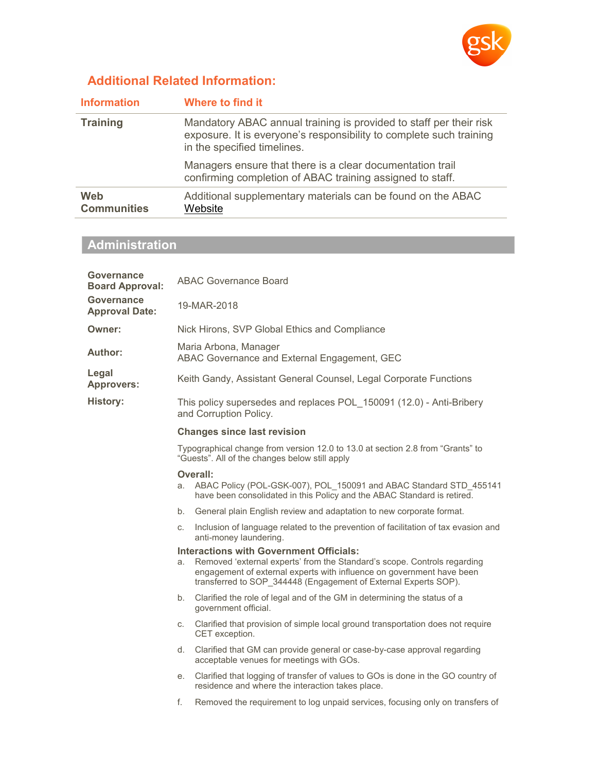

# **Additional Related Information:**

| <b>Information</b>        | Where to find it                                                                                                                                                         |
|---------------------------|--------------------------------------------------------------------------------------------------------------------------------------------------------------------------|
| <b>Training</b>           | Mandatory ABAC annual training is provided to staff per their risk<br>exposure. It is everyone's responsibility to complete such training<br>in the specified timelines. |
|                           | Managers ensure that there is a clear documentation trail<br>confirming completion of ABAC training assigned to staff.                                                   |
| Web<br><b>Communities</b> | Additional supplementary materials can be found on the ABAC<br>Website                                                                                                   |

# **Administration**

| Governance<br><b>Board Approval:</b> | <b>ABAC Governance Board</b>                                                                                                                                                                                                                                                 |  |
|--------------------------------------|------------------------------------------------------------------------------------------------------------------------------------------------------------------------------------------------------------------------------------------------------------------------------|--|
| Governance<br><b>Approval Date:</b>  | 19-MAR-2018                                                                                                                                                                                                                                                                  |  |
| Owner:                               | Nick Hirons, SVP Global Ethics and Compliance                                                                                                                                                                                                                                |  |
| Author:                              | Maria Arbona, Manager<br>ABAC Governance and External Engagement, GEC                                                                                                                                                                                                        |  |
| Legal<br><b>Approvers:</b>           | Keith Gandy, Assistant General Counsel, Legal Corporate Functions                                                                                                                                                                                                            |  |
| <b>History:</b>                      | This policy supersedes and replaces POL 150091 (12.0) - Anti-Bribery<br>and Corruption Policy.                                                                                                                                                                               |  |
|                                      | <b>Changes since last revision</b>                                                                                                                                                                                                                                           |  |
|                                      | Typographical change from version 12.0 to 13.0 at section 2.8 from "Grants" to<br>"Guests". All of the changes below still apply                                                                                                                                             |  |
|                                      | Overall:                                                                                                                                                                                                                                                                     |  |
|                                      | ABAC Policy (POL-GSK-007), POL 150091 and ABAC Standard STD 455141<br>a.<br>have been consolidated in this Policy and the ABAC Standard is retired.                                                                                                                          |  |
|                                      | General plain English review and adaptation to new corporate format.<br>b.                                                                                                                                                                                                   |  |
|                                      | Inclusion of language related to the prevention of facilitation of tax evasion and<br>C.<br>anti-money laundering.                                                                                                                                                           |  |
|                                      | <b>Interactions with Government Officials:</b><br>Removed 'external experts' from the Standard's scope. Controls regarding<br>a.<br>engagement of external experts with influence on government have been<br>transferred to SOP 344448 (Engagement of External Experts SOP). |  |
|                                      | Clarified the role of legal and of the GM in determining the status of a<br>b.<br>government official.                                                                                                                                                                       |  |
|                                      | Clarified that provision of simple local ground transportation does not require<br>C.<br>CET exception.                                                                                                                                                                      |  |
|                                      | Clarified that GM can provide general or case-by-case approval regarding<br>d.<br>acceptable venues for meetings with GOs.                                                                                                                                                   |  |
|                                      | Clarified that logging of transfer of values to GOs is done in the GO country of<br>е.<br>residence and where the interaction takes place.                                                                                                                                   |  |
|                                      | Removed the requirement to log unpaid services, focusing only on transfers of<br>f.                                                                                                                                                                                          |  |